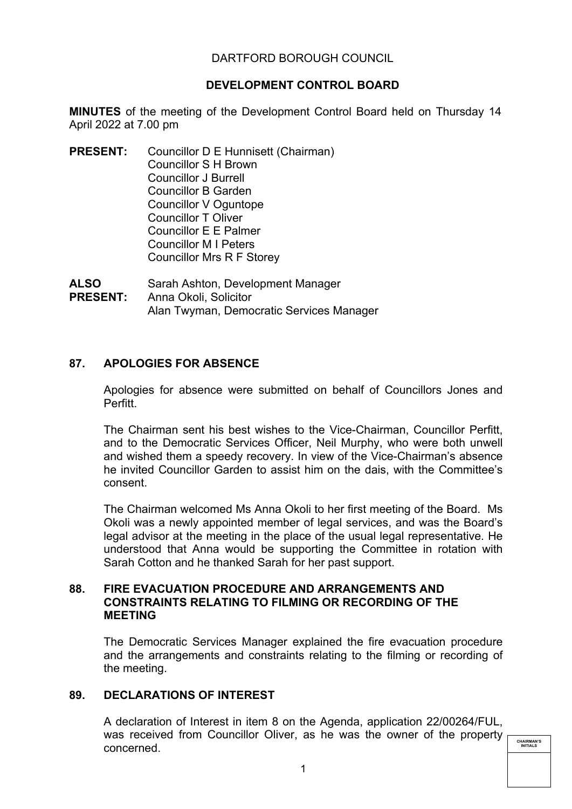# DARTFORD BOROUGH COUNCIL

# **DEVELOPMENT CONTROL BOARD**

**MINUTES** of the meeting of the Development Control Board held on Thursday 14 April 2022 at 7.00 pm

**PRESENT:** Councillor D E Hunnisett (Chairman) Councillor S H Brown Councillor J Burrell Councillor B Garden Councillor V Oguntope Councillor T Oliver Councillor E E Palmer Councillor M I Peters Councillor Mrs R F Storey

**ALSO PRESENT:** Sarah Ashton, Development Manager Anna Okoli, Solicitor Alan Twyman, Democratic Services Manager

# **87. APOLOGIES FOR ABSENCE**

Apologies for absence were submitted on behalf of Councillors Jones and Perfitt.

The Chairman sent his best wishes to the Vice-Chairman, Councillor Perfitt, and to the Democratic Services Officer, Neil Murphy, who were both unwell and wished them a speedy recovery. In view of the Vice-Chairman's absence he invited Councillor Garden to assist him on the dais, with the Committee's consent.

The Chairman welcomed Ms Anna Okoli to her first meeting of the Board. Ms Okoli was a newly appointed member of legal services, and was the Board's legal advisor at the meeting in the place of the usual legal representative. He understood that Anna would be supporting the Committee in rotation with Sarah Cotton and he thanked Sarah for her past support.

## **88. FIRE EVACUATION PROCEDURE AND ARRANGEMENTS AND CONSTRAINTS RELATING TO FILMING OR RECORDING OF THE MEETING**

The Democratic Services Manager explained the fire evacuation procedure and the arrangements and constraints relating to the filming or recording of the meeting.

## **89. DECLARATIONS OF INTEREST**

A declaration of Interest in item 8 on the Agenda, application 22/00264/FUL, was received from Councillor Oliver, as he was the owner of the property concerned.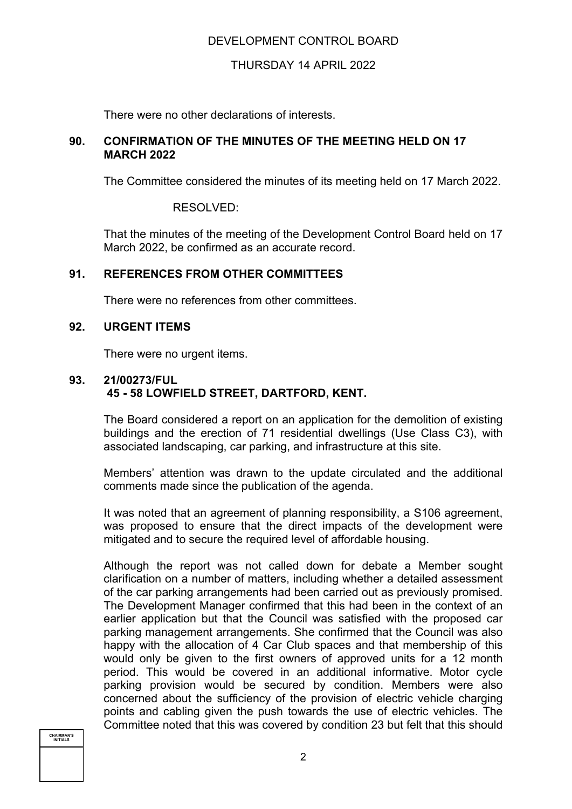# DEVELOPMENT CONTROL BOARD

## THURSDAY 14 APRIL 2022

There were no other declarations of interests.

### **90. CONFIRMATION OF THE MINUTES OF THE MEETING HELD ON 17 MARCH 2022**

The Committee considered the minutes of its meeting held on 17 March 2022.

RESOLVED:

That the minutes of the meeting of the Development Control Board held on 17 March 2022, be confirmed as an accurate record.

## **91. REFERENCES FROM OTHER COMMITTEES**

There were no references from other committees.

### **92. URGENT ITEMS**

There were no urgent items.

## **93. 21/00273/FUL 45 - 58 LOWFIELD STREET, DARTFORD, KENT.**

The Board considered a report on an application for the demolition of existing buildings and the erection of 71 residential dwellings (Use Class C3), with associated landscaping, car parking, and infrastructure at this site.

Members' attention was drawn to the update circulated and the additional comments made since the publication of the agenda.

It was noted that an agreement of planning responsibility, a S106 agreement, was proposed to ensure that the direct impacts of the development were mitigated and to secure the required level of affordable housing.

Although the report was not called down for debate a Member sought clarification on a number of matters, including whether a detailed assessment of the car parking arrangements had been carried out as previously promised. The Development Manager confirmed that this had been in the context of an earlier application but that the Council was satisfied with the proposed car parking management arrangements. She confirmed that the Council was also happy with the allocation of 4 Car Club spaces and that membership of this would only be given to the first owners of approved units for a 12 month period. This would be covered in an additional informative. Motor cycle parking provision would be secured by condition. Members were also concerned about the sufficiency of the provision of electric vehicle charging points and cabling given the push towards the use of electric vehicles. The Committee noted that this was covered by condition 23 but felt that this should

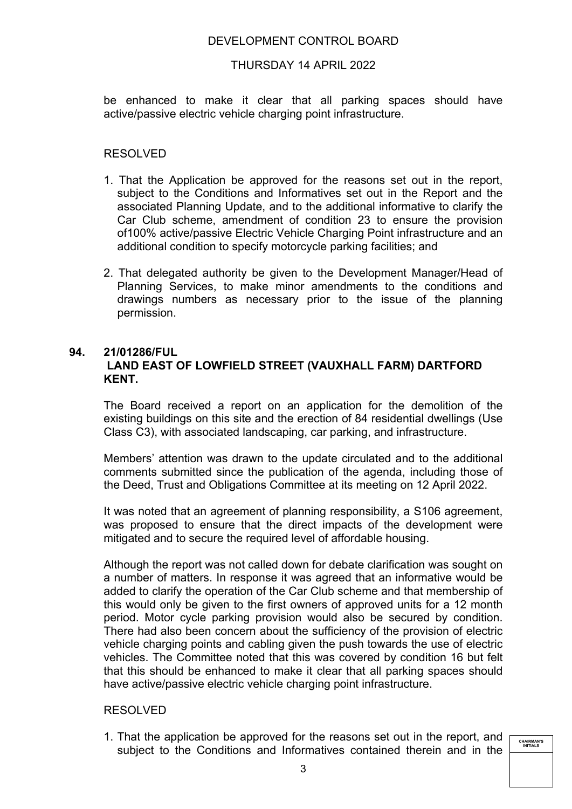## DEVELOPMENT CONTROL BOARD

### THURSDAY 14 APRIL 2022

be enhanced to make it clear that all parking spaces should have active/passive electric vehicle charging point infrastructure.

### RESOLVED

- 1. That the Application be approved for the reasons set out in the report, subject to the Conditions and Informatives set out in the Report and the associated Planning Update, and to the additional informative to clarify the Car Club scheme, amendment of condition 23 to ensure the provision of100% active/passive Electric Vehicle Charging Point infrastructure and an additional condition to specify motorcycle parking facilities; and
- 2. That delegated authority be given to the Development Manager/Head of Planning Services, to make minor amendments to the conditions and drawings numbers as necessary prior to the issue of the planning permission.

# **94. 21/01286/FUL LAND EAST OF LOWFIELD STREET (VAUXHALL FARM) DARTFORD KENT.**

The Board received a report on an application for the demolition of the existing buildings on this site and the erection of 84 residential dwellings (Use Class C3), with associated landscaping, car parking, and infrastructure.

Members' attention was drawn to the update circulated and to the additional comments submitted since the publication of the agenda, including those of the Deed, Trust and Obligations Committee at its meeting on 12 April 2022.

It was noted that an agreement of planning responsibility, a S106 agreement, was proposed to ensure that the direct impacts of the development were mitigated and to secure the required level of affordable housing.

Although the report was not called down for debate clarification was sought on a number of matters. In response it was agreed that an informative would be added to clarify the operation of the Car Club scheme and that membership of this would only be given to the first owners of approved units for a 12 month period. Motor cycle parking provision would also be secured by condition. There had also been concern about the sufficiency of the provision of electric vehicle charging points and cabling given the push towards the use of electric vehicles. The Committee noted that this was covered by condition 16 but felt that this should be enhanced to make it clear that all parking spaces should have active/passive electric vehicle charging point infrastructure.

#### RESOLVED

1. That the application be approved for the reasons set out in the report, and subject to the Conditions and Informatives contained therein and in the